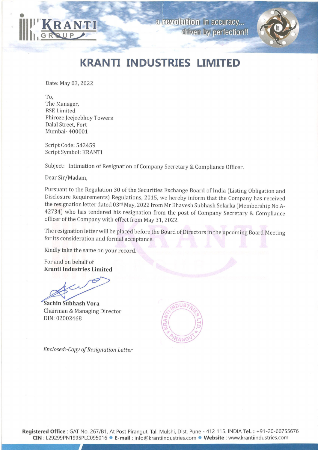



## KRANTI INDUSTRIES LIMITED

Date: May 03, 2022

To, The Manager, RSE Limited Phiroze Jeejeebhoy Towers Dalal Street, Fort Mumbai- 400001

Script Code: 542459 Script Symbol: KRANTI

Subject: Intimation of Resignation of Company Secretary & Compliance Officer.

Dear Sir/Madam,

Pursuant to the Regulation 30 of the Securities Exchange Board of India (Listing Obligation and Disclosure Requirements) Regulations, 2015, we hereby inform that the Company has received the resignation letter dated 03<sup>rd</sup> officer of the Company with effect from May 31, 2022.

The resignation letter will be placed before the Board of Directors in the upcoming Board Meeting for its consideration and formal acceptance.

Kindly take the same on your record.

For and on behalf of Kranti Industries Limited

Sachin Subhash Vora Chairman & Managing Director DIN: 02002468



Enclosed:-Copy of Resignation Letter